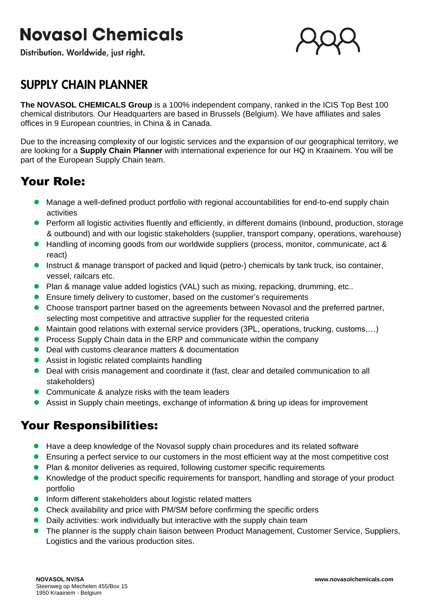# **Novasol Chemicals**

Distribution. Worldwide, just right.



## **SUPPLY CHAIN PLANNER**

**The NOVASOL CHEMICALS Group** is a 100% independent company, ranked in the ICIS Top Best 100 chemical distributors. Our Headquarters are based in Brussels (Belgium). We have affiliates and sales offices in 9 European countries, in China & in Canada.

Due to the increasing complexity of our logistic services and the expansion of our geographical territory, we are looking for a **Supply Chain Planner** with international experience for our HQ in Kraainem. You will be part of the European Supply Chain team.

### Your Role:

- Manage a well-defined product portfolio with regional accountabilities for end-to-end supply chain activities
- Perform all logistic activities fluently and efficiently, in different domains (Inbound, production, storage & outbound) and with our logistic stakeholders (supplier, transport company, operations, warehouse)
- Handling of incoming goods from our worldwide suppliers (process, monitor, communicate, act & react)
- Instruct & manage transport of packed and liquid (petro-) chemicals by tank truck, iso container, vessel, railcars etc.
- Plan & manage value added logistics (VAL) such as mixing, repacking, drumming, etc..
- Ensure timely delivery to customer, based on the customer's requirements
- ⚫ Choose transport partner based on the agreements between Novasol and the preferred partner, selecting most competitive and attractive supplier for the requested criteria
- Maintain good relations with external service providers (3PL, operations, trucking, customs,...)
- Process Supply Chain data in the ERP and communicate within the company
- Deal with customs clearance matters & documentation
- Assist in logistic related complaints handling
- Deal with crisis management and coordinate it (fast, clear and detailed communication to all stakeholders)
- Communicate & analyze risks with the team leaders
- Assist in Supply chain meetings, exchange of information & bring up ideas for improvement

#### Your Responsibilities:

- Have a deep knowledge of the Novasol supply chain procedures and its related software
- Ensuring a perfect service to our customers in the most efficient way at the most competitive cost
- ⚫ Plan & monitor deliveries as required, following customer specific requirements
- Knowledge of the product specific requirements for transport, handling and storage of your product portfolio
- Inform different stakeholders about logistic related matters
- ⚫ Check availability and price with PM/SM before confirming the specific orders
- ⚫ Daily activities: work individually but interactive with the supply chain team
- ⚫ The planner is the supply chain liaison between Product Management, Customer Service, Suppliers, Logistics and the various production sites.